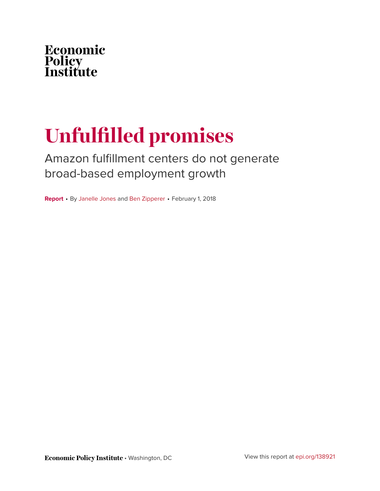

# **Unfulfilled promises**

Amazon fulfillment centers do not generate broad-based employment growth

**Report** • By [Janelle Jones](https://www.epi.org/people/janelle-jones/) and [Ben Zipperer](https://www.epi.org/people/ben-zipperer/) • February 1, 2018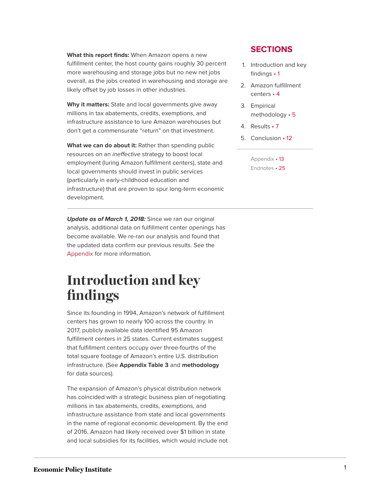**What this report finds:** When Amazon opens a new fulfillment center, the host county gains roughly 30 percent more warehousing and storage jobs but no new net jobs overall, as the jobs created in warehousing and storage are likely offset by job losses in other industries.

**Why it matters:** State and local governments give away millions in tax abatements, credits, exemptions, and infrastructure assistance to lure Amazon warehouses but don't get a commensurate "return" on that investment.

**What we can do about it:** Rather than spending public resources on an ineffective strategy to boost local employment (luring Amazon fulfillment centers), state and local governments should invest in public services (particularly in early-childhood education and infrastructure) that are proven to spur long-term economic development.

**Update as of March 1, 2018:** Since we ran our original analysis, additional data on fulfillment center openings has become available. We re-ran our analysis and found that the updated data confirm our previous results. See the [Appendix](https://www.epi.org/publication/unfulfilled-promises-amazon-warehouses-do-not-generate-broad-based-employment-growth/#Appendix) for more information.

## <span id="page-1-0"></span>**Introduction and key findings**

Since its founding in 1994, Amazon's network of fulfillment centers has grown to nearly 100 across the country. In 2017, publicly available data identified 95 Amazon fulfillment centers in 25 states. Current estimates suggest that fulfillment centers occupy over three-fourths of the total square footage of Amazon's entire U.S. distribution infrastructure. (See **Appendix Table 3** and **methodology** for data sources).

The expansion of Amazon's physical distribution network has coincided with a strategic business plan of negotiating millions in tax abatements, credits, exemptions, and infrastructure assistance from state and local governments in the name of regional economic development. By the end of 2016, Amazon had likely received over \$1 billion in state and local subsidies for its facilities, which would include not

### **SECTIONS**

- 1. [Introduction and key](#page-1-0) [findings](#page-1-0) • 1
- 2. [Amazon fulfillment](#page-4-0) [centers](#page-4-0) • 4
- 3. [Empirical](#page-5-0) [methodology](#page-5-0) • 5
- 4. [Results](#page-7-0) 7
- 5. [Conclusion](#page-12-0) 12

[Appendix](#page-13-0) • 13 [Endnotes](#page-25-0) • 25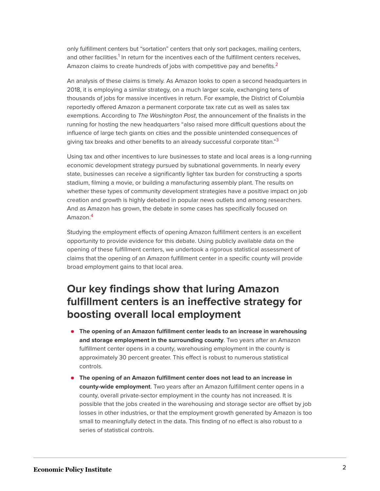<span id="page-2-1"></span><span id="page-2-0"></span>only fulfillment centers but "sortation" centers that only sort packages, mailing centers, and other facilities.<sup>[1](#page-25-1)</sup> In return for the incentives each of the fulfillment centers receives, Amazon claims to create hundreds of jobs with competitive pay and benefits.<sup>[2](#page-25-2)</sup>

An analysis of these claims is timely. As Amazon looks to open a second headquarters in 2018, it is employing a similar strategy, on a much larger scale, exchanging tens of thousands of jobs for massive incentives in return. For example, the District of Columbia reportedly offered Amazon a permanent corporate tax rate cut as well as sales tax exemptions. According to The Washington Post, the announcement of the finalists in the running for hosting the new headquarters "also raised more difficult questions about the influence of large tech giants on cities and the possible unintended consequences of giving tax breaks and other benefits to an already successful corporate titan."<sup>[3](#page-25-3)</sup>

<span id="page-2-2"></span>Using tax and other incentives to lure businesses to state and local areas is a long-running economic development strategy pursued by subnational governments. In nearly every state, businesses can receive a significantly lighter tax burden for constructing a sports stadium, filming a movie, or building a manufacturing assembly plant. The results on whether these types of community development strategies have a positive impact on job creation and growth is highly debated in popular news outlets and among researchers. And as Amazon has grown, the debate in some cases has specifically focused on Amazon.[4](#page-25-4)

<span id="page-2-3"></span>Studying the employment effects of opening Amazon fulfillment centers is an excellent opportunity to provide evidence for this debate. Using publicly available data on the opening of these fulfillment centers, we undertook a rigorous statistical assessment of claims that the opening of an Amazon fulfillment center in a specific county will provide broad employment gains to that local area.

## **Our key findings show that luring Amazon fulfillment centers is an ineffective strategy for boosting overall local employment**

- **The opening of an Amazon fulfillment center leads to an increase in warehousing and storage employment in the surrounding county**. Two years after an Amazon fulfillment center opens in a county, warehousing employment in the county is approximately 30 percent greater. This effect is robust to numerous statistical controls.
- **The opening of an Amazon fulfillment center does not lead to an increase in county-wide employment**. Two years after an Amazon fulfillment center opens in a county, overall private-sector employment in the county has not increased. It is possible that the jobs created in the warehousing and storage sector are offset by job losses in other industries, or that the employment growth generated by Amazon is too small to meaningfully detect in the data. This finding of no effect is also robust to a series of statistical controls.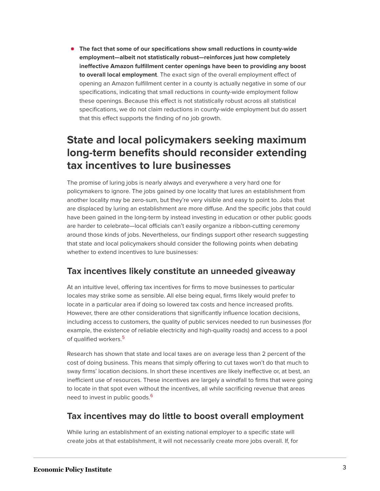**The fact that some of our specifications show small reductions in county-wide employment—albeit not statistically robust—reinforces just how completely ineffective Amazon fulfillment center openings have been to providing any boost to overall local employment**. The exact sign of the overall employment effect of opening an Amazon fulfillment center in a county is actually negative in some of our specifications, indicating that small reductions in county-wide employment follow these openings. Because this effect is not statistically robust across all statistical specifications, we do not claim reductions in county-wide employment but do assert that this effect supports the finding of no job growth.

## **State and local policymakers seeking maximum long-term benefits should reconsider extending tax incentives to lure businesses**

The promise of luring jobs is nearly always and everywhere a very hard one for policymakers to ignore. The jobs gained by one locality that lures an establishment from another locality may be zero-sum, but they're very visible and easy to point to. Jobs that are displaced by luring an establishment are more diffuse. And the specific jobs that could have been gained in the long-term by instead investing in education or other public goods are harder to celebrate—local officials can't easily organize a ribbon-cutting ceremony around those kinds of jobs. Nevertheless, our findings support other research suggesting that state and local policymakers should consider the following points when debating whether to extend incentives to lure businesses:

## **Tax incentives likely constitute an unneeded giveaway**

At an intuitive level, offering tax incentives for firms to move businesses to particular locales may strike some as sensible. All else being equal, firms likely would prefer to locate in a particular area if doing so lowered tax costs and hence increased profits. However, there are other considerations that significantly influence location decisions, including access to customers, the quality of public services needed to run businesses (for example, the existence of reliable electricity and high-quality roads) and access to a pool of qualified workers.<sup>[5](#page-25-5)</sup>

<span id="page-3-0"></span>Research has shown that state and local taxes are on average less than 2 percent of the cost of doing business. This means that simply offering to cut taxes won't do that much to sway firms' location decisions. In short these incentives are likely ineffective or, at best, an inefficient use of resources. These incentives are largely a windfall to firms that were going to locate in that spot even without the incentives, all while sacrificing revenue that areas need to invest in public goods.<sup>[6](#page-25-6)</sup>

## <span id="page-3-1"></span>**Tax incentives may do little to boost overall employment**

While luring an establishment of an existing national employer to a specific state will create jobs at that establishment, it will not necessarily create more jobs overall. If, for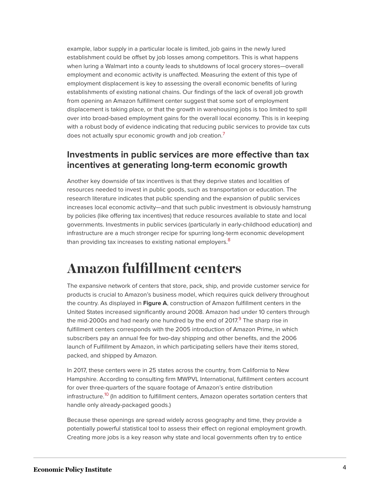example, labor supply in a particular locale is limited, job gains in the newly lured establishment could be offset by job losses among competitors. This is what happens when luring a Walmart into a county leads to shutdowns of local grocery stores—overall employment and economic activity is unaffected. Measuring the extent of this type of employment displacement is key to assessing the overall economic benefits of luring establishments of existing national chains. Our findings of the lack of overall job growth from opening an Amazon fulfillment center suggest that some sort of employment displacement is taking place, or that the growth in warehousing jobs is too limited to spill over into broad-based employment gains for the overall local economy. This is in keeping with a robust body of evidence indicating that reducing public services to provide tax cuts does not actually spur economic growth and job creation.<sup>[7](#page-25-7)</sup>

## <span id="page-4-1"></span>**Investments in public services are more effective than tax incentives at generating long-term economic growth**

Another key downside of tax incentives is that they deprive states and localities of resources needed to invest in public goods, such as transportation or education. The research literature indicates that public spending and the expansion of public services increases local economic activity—and that such public investment is obviously hamstrung by policies (like offering tax incentives) that reduce resources available to state and local governments. Investments in public services (particularly in early-childhood education) and infrastructure are a much stronger recipe for spurring long-term economic development than providing tax increases to existing national employers.<sup>[8](#page-25-8)</sup>

## <span id="page-4-2"></span><span id="page-4-0"></span>**Amazon fulfillment centers**

<span id="page-4-3"></span>The expansive network of centers that store, pack, ship, and provide customer service for products is crucial to Amazon's business model, which requires quick delivery throughout the country. As displayed in **Figure A**, construction of Amazon fulfillment centers in the United States increased significantly around 2008. Amazon had under 10 centers through the mid-2000s and had nearly one hundred by the end of 2017.<sup>[9](#page-25-9)</sup> The sharp rise in fulfillment centers corresponds with the 2005 introduction of Amazon Prime, in which subscribers pay an annual fee for two-day shipping and other benefits, and the 2006 launch of Fulfillment by Amazon, in which participating sellers have their items stored, packed, and shipped by Amazon.

<span id="page-4-4"></span>In 2017, these centers were in 25 states across the country, from California to New Hampshire. According to consulting firm MWPVL International, fulfillment centers account for over three-quarters of the square footage of Amazon's entire distribution infrastructure.<sup>[10](#page-26-0)</sup> (In addition to fulfillment centers, Amazon operates sortation centers that handle only already-packaged goods.)

Because these openings are spread widely across geography and time, they provide a potentially powerful statistical tool to assess their effect on regional employment growth. Creating more jobs is a key reason why state and local governments often try to entice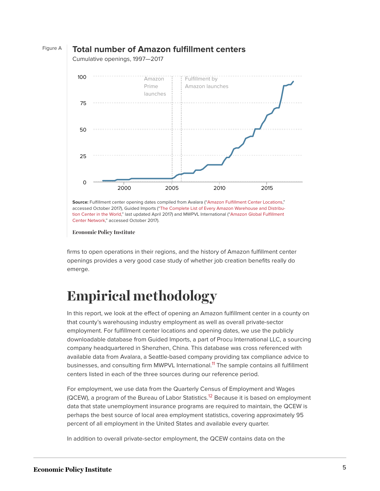

### Figure A **Total number of Amazon fulfillment centers**

**Economic Policy Institute** 

[Center Network](http://www.mwpvl.com/html/amazon_com.html)," accessed October 2017).

firms to open operations in their regions, and the history of Amazon fulfillment center openings provides a very good case study of whether job creation benefits really do emerge.

[tion Center in the World](https://guidedimports.com/amazon-warehouse-locations/)," last updated April 2017) and MWPVL International (["Amazon Global Fulfillment](http://www.mwpvl.com/html/amazon_com.html)

## <span id="page-5-0"></span>**Empirical methodology**

In this report, we look at the effect of opening an Amazon fulfillment center in a county on that county's warehousing industry employment as well as overall private-sector employment. For fulfillment center locations and opening dates, we use the publicly downloadable database from Guided Imports, a part of Procu International LLC, a sourcing company headquartered in Shenzhen, China. This database was cross referenced with available data from Avalara, a Seattle-based company providing tax compliance advice to businesses, and consulting firm MWPVL International.<sup>[11](#page-26-1)</sup> The sample contains all fulfillment centers listed in each of the three sources during our reference period.

<span id="page-5-2"></span><span id="page-5-1"></span>For employment, we use data from the Quarterly Census of Employment and Wages (QCEW), a program of the Bureau of Labor Statistics.<sup>[12](#page-26-2)</sup> Because it is based on employment data that state unemployment insurance programs are required to maintain, the QCEW is perhaps the best source of local area employment statistics, covering approximately 95 percent of all employment in the United States and available every quarter.

In addition to overall private-sector employment, the QCEW contains data on the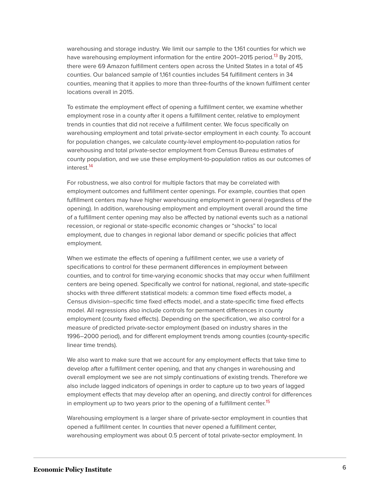<span id="page-6-0"></span>warehousing and storage industry. We limit our sample to the 1,161 counties for which we have warehousing employment information for the entire 2001–2015 period.<sup>[13](#page-26-3)</sup> By 2015, there were 69 Amazon fulfillment centers open across the United States in a total of 45 counties. Our balanced sample of 1,161 counties includes 54 fulfillment centers in 34 counties, meaning that it applies to more than three-fourths of the known fulfilment center locations overall in 2015.

To estimate the employment effect of opening a fulfillment center, we examine whether employment rose in a county after it opens a fulfillment center, relative to employment trends in counties that did not receive a fulfillment center. We focus specifically on warehousing employment and total private-sector employment in each county. To account for population changes, we calculate county-level employment-to-population ratios for warehousing and total private-sector employment from Census Bureau estimates of county population, and we use these employment-to-population ratios as our outcomes of interest.[14](#page-26-4)

<span id="page-6-1"></span>For robustness, we also control for multiple factors that may be correlated with employment outcomes and fulfillment center openings. For example, counties that open fulfillment centers may have higher warehousing employment in general (regardless of the opening). In addition, warehousing employment and employment overall around the time of a fulfillment center opening may also be affected by national events such as a national recession, or regional or state-specific economic changes or "shocks" to local employment, due to changes in regional labor demand or specific policies that affect employment.

When we estimate the effects of opening a fulfillment center, we use a variety of specifications to control for these permanent differences in employment between counties, and to control for time-varying economic shocks that may occur when fulfillment centers are being opened. Specifically we control for national, regional, and state-specific shocks with three different statistical models: a common time fixed effects model, a Census division–specific time fixed effects model, and a state-specific time fixed effects model. All regressions also include controls for permanent differences in county employment (county fixed effects). Depending on the specification, we also control for a measure of predicted private-sector employment (based on industry shares in the 1996–2000 period), and for different employment trends among counties (county-specific linear time trends).

We also want to make sure that we account for any employment effects that take time to develop after a fulfillment center opening, and that any changes in warehousing and overall employment we see are not simply continuations of existing trends. Therefore we also include lagged indicators of openings in order to capture up to two years of lagged employment effects that may develop after an opening, and directly control for differences in employment up to two years prior to the opening of a fulfillment center.<sup>[15](#page-26-5)</sup>

<span id="page-6-2"></span>Warehousing employment is a larger share of private-sector employment in counties that opened a fulfillment center. In counties that never opened a fulfillment center, warehousing employment was about 0.5 percent of total private-sector employment. In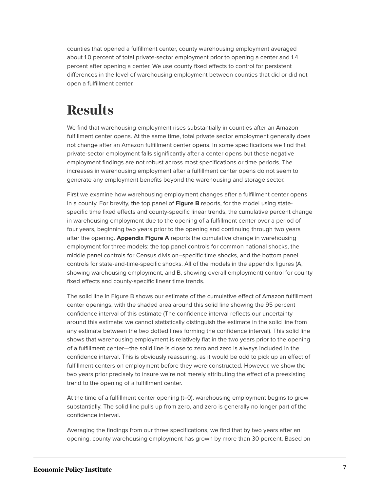counties that opened a fulfillment center, county warehousing employment averaged about 1.0 percent of total private-sector employment prior to opening a center and 1.4 percent after opening a center. We use county fixed effects to control for persistent differences in the level of warehousing employment between counties that did or did not open a fulfillment center.

# <span id="page-7-0"></span>**Results**

We find that warehousing employment rises substantially in counties after an Amazon fulfillment center opens. At the same time, total private sector employment generally does not change after an Amazon fulfillment center opens. In some specifications we find that private-sector employment falls significantly after a center opens but these negative employment findings are not robust across most specifications or time periods. The increases in warehousing employment after a fulfillment center opens do not seem to generate any employment benefits beyond the warehousing and storage sector.

First we examine how warehousing employment changes after a fulfillment center opens in a county. For brevity, the top panel of **Figure B** reports, for the model using statespecific time fixed effects and county-specific linear trends, the cumulative percent change in warehousing employment due to the opening of a fulfillment center over a period of four years, beginning two years prior to the opening and continuing through two years after the opening. **Appendix Figure A** reports the cumulative change in warehousing employment for three models: the top panel controls for common national shocks, the middle panel controls for Census division–specific time shocks, and the bottom panel controls for state-and-time-specific shocks. All of the models in the appendix figures (A, showing warehousing employment, and B, showing overall employment) control for county fixed effects and county-specific linear time trends.

The solid line in Figure B shows our estimate of the cumulative effect of Amazon fulfillment center openings, with the shaded area around this solid line showing the 95 percent confidence interval of this estimate (The confidence interval reflects our uncertainty around this estimate: we cannot statistically distinguish the estimate in the solid line from any estimate between the two dotted lines forming the confidence interval). This solid line shows that warehousing employment is relatively flat in the two years prior to the opening of a fulfillment center—the solid line is close to zero and zero is always included in the confidence interval. This is obviously reassuring, as it would be odd to pick up an effect of fulfillment centers on employment before they were constructed. However, we show the two years prior precisely to insure we're not merely attributing the effect of a preexisting trend to the opening of a fulfillment center.

At the time of a fulfillment center opening (t=0), warehousing employment begins to grow substantially. The solid line pulls up from zero, and zero is generally no longer part of the confidence interval.

Averaging the findings from our three specifications, we find that by two years after an opening, county warehousing employment has grown by more than 30 percent. Based on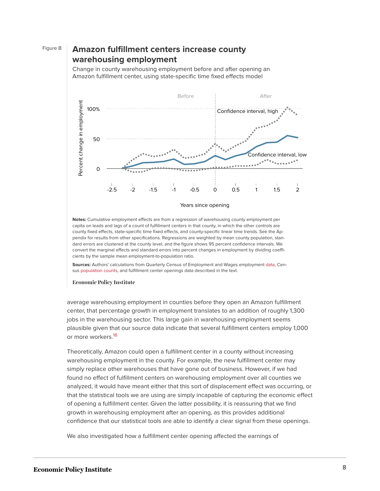## Figure B **Amazon fulfillment centers increase county warehousing employment**

Change in county warehousing employment before and after opening an Amazon fulfillment center, using state-specific time fixed effects model



**Notes:** Cumulative employment effects are from a regression of warehousing county employment per

capita on leads and lags of a count of fulfillment centers in that county, in which the other controls are county fixed effects, state-specific time fixed effects, and county-specific linear time trends. See the Appendix for results from other specifications. Regressions are weighted by mean county population, standard errors are clustered at the county level, and the figure shows 95 percent confidence intervals. We convert the marginal effects and standard errors into percent changes in employment by dividing coefficients by the sample mean employment-to-population ratio.

**Sources:** Authors' calculations from Quarterly Census of Employment and Wages employment [data,](https://www.bls.gov/cew/datatoc.htm) Census [population](https://www.census.gov/data/tables/2016/demo/popest/counties-total.html) [counts](https://www2.census.gov/programs-surveys/popest/tables/2000-2010/intercensal/county/), and fulfillment center openings data described in the text.

### **Economic Policy Institute**

average warehousing employment in counties before they open an Amazon fulfillment center, that percentage growth in employment translates to an addition of roughly 1,300 jobs in the warehousing sector. This large gain in warehousing employment seems plausible given that our source data indicate that several fulfillment centers employ 1,000 or more workers.<sup>[16](#page-26-6)</sup>

<span id="page-8-0"></span>Theoretically, Amazon could open a fulfillment center in a county without increasing warehousing employment in the county. For example, the new fulfillment center may simply replace other warehouses that have gone out of business. However, if we had found no effect of fulfillment centers on warehousing employment over all counties we analyzed, it would have meant either that this sort of displacement effect was occurring, or that the statistical tools we are using are simply incapable of capturing the economic effect of opening a fulfillment center. Given the latter possibility, it is reassuring that we find growth in warehousing employment after an opening, as this provides additional confidence that our statistical tools are able to identify a clear signal from these openings.

We also investigated how a fulfillment center opening affected the earnings of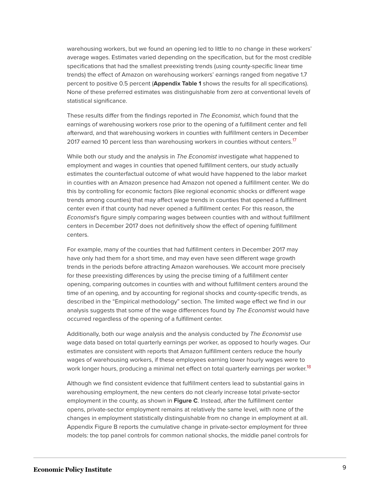warehousing workers, but we found an opening led to little to no change in these workers' average wages. Estimates varied depending on the specification, but for the most credible specifications that had the smallest preexisting trends (using county-specific linear time trends) the effect of Amazon on warehousing workers' earnings ranged from negative 1.7 percent to positive 0.5 percent (**Appendix Table 1** shows the results for all specifications). None of these preferred estimates was distinguishable from zero at conventional levels of statistical significance.

These results differ from the findings reported in The Economist, which found that the earnings of warehousing workers rose prior to the opening of a fulfillment center and fell afterward, and that warehousing workers in counties with fulfillment centers in December 20[17](#page-26-7) earned 10 percent less than warehousing workers in counties without centers.<sup>17</sup>

<span id="page-9-0"></span>While both our study and the analysis in The Economist investigate what happened to employment and wages in counties that opened fulfillment centers, our study actually estimates the counterfactual outcome of what would have happened to the labor market in counties with an Amazon presence had Amazon not opened a fulfillment center. We do this by controlling for economic factors (like regional economic shocks or different wage trends among counties) that may affect wage trends in counties that opened a fulfillment center even if that county had never opened a fulfillment center. For this reason, the Economist's figure simply comparing wages between counties with and without fulfillment centers in December 2017 does not definitively show the effect of opening fulfillment centers.

For example, many of the counties that had fulfillment centers in December 2017 may have only had them for a short time, and may even have seen different wage growth trends in the periods before attracting Amazon warehouses. We account more precisely for these preexisting differences by using the precise timing of a fulfillment center opening, comparing outcomes in counties with and without fulfillment centers around the time of an opening, and by accounting for regional shocks and county-specific trends, as described in the "Empirical methodology" section. The limited wage effect we find in our analysis suggests that some of the wage differences found by The Economist would have occurred regardless of the opening of a fulfillment center.

Additionally, both our wage analysis and the analysis conducted by The Economist use wage data based on total quarterly earnings per worker, as opposed to hourly wages. Our estimates are consistent with reports that Amazon fulfillment centers reduce the hourly wages of warehousing workers, if these employees earning lower hourly wages were to work longer hours, producing a minimal net effect on total quarterly earnings per worker.<sup>[18](#page-26-8)</sup>

<span id="page-9-1"></span>Although we find consistent evidence that fulfillment centers lead to substantial gains in warehousing employment, the new centers do not clearly increase total private-sector employment in the county, as shown in **Figure C**. Instead, after the fulfillment center opens, private-sector employment remains at relatively the same level, with none of the changes in employment statistically distinguishable from no change in employment at all. Appendix Figure B reports the cumulative change in private-sector employment for three models: the top panel controls for common national shocks, the middle panel controls for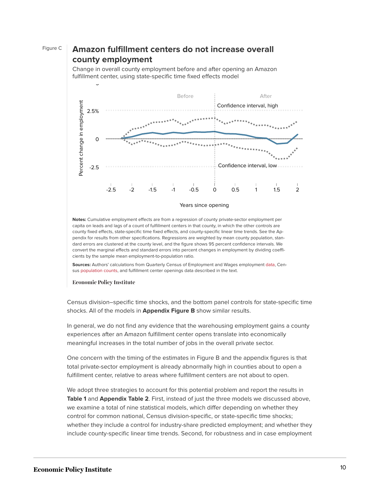### Figure C **Amazon fulfillment centers do not increase overall county employment**

Change in overall county employment before and after opening an Amazon fulfillment center, using state-specific time fixed effects model



#### Years since opening

**Notes:** Cumulative employment effects are from a regression of county private-sector employment per capita on leads and lags of a count of fulfillment centers in that county, in which the other controls are county fixed effects, state-specific time fixed effects, and county-specific linear time trends. See the Appendix for results from other specifications. Regressions are weighted by mean county population, standard errors are clustered at the county level, and the figure shows 95 percent confidence intervals. We convert the marginal effects and standard errors into percent changes in employment by dividing coefficients by the sample mean employment-to-population ratio.

**Sources:** Authors' calculations from Quarterly Census of Employment and Wages employment [data,](https://www.bls.gov/cew/datatoc.htm) Census [population](https://www.census.gov/data/tables/2016/demo/popest/counties-total.html) [counts](https://www2.census.gov/programs-surveys/popest/tables/2000-2010/intercensal/county/), and fulfillment center openings data described in the text.

**Economic Policy Institute** 

5

Census division–specific time shocks, and the bottom panel controls for state-specific time shocks. All of the models in **Appendix Figure B** show similar results.

In general, we do not find any evidence that the warehousing employment gains a county experiences after an Amazon fulfillment center opens translate into economically meaningful increases in the total number of jobs in the overall private sector.

One concern with the timing of the estimates in Figure B and the appendix figures is that total private-sector employment is already abnormally high in counties about to open a fulfillment center, relative to areas where fulfillment centers are not about to open.

We adopt three strategies to account for this potential problem and report the results in **Table 1** and **Appendix Table 2**. First, instead of just the three models we discussed above, we examine a total of nine statistical models, which differ depending on whether they control for common national, Census division-specific, or state-specific time shocks; whether they include a control for industry-share predicted employment; and whether they include county-specific linear time trends. Second, for robustness and in case employment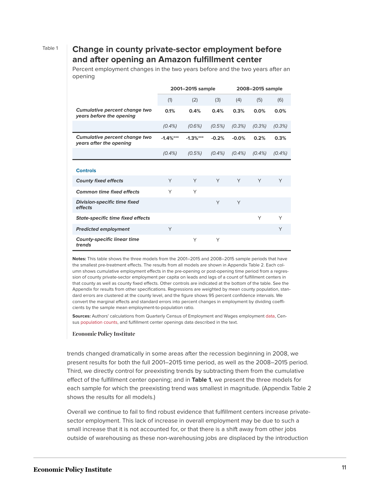### Table 1 **Change in county private-sector employment before and after opening an Amazon fulfillment center**

Percent employment changes in the two years before and the two years after an opening

|                                                                  |            | 2001-2015 sample |           |           | 2008-2015 sample |           |
|------------------------------------------------------------------|------------|------------------|-----------|-----------|------------------|-----------|
|                                                                  | (1)        | (2)              | (3)       | (4)       | (5)              | (6)       |
| <b>Cumulative percent change two</b><br>years before the opening | 0.1%       | 0.4%             | 0.4%      | 0.3%      | 0.0%             | 0.0%      |
|                                                                  | $(0.4\%)$  | (0.6%)           | (0.5%)    | (0.3%)    | (0.3%)           | (0.3%)    |
| Cumulative percent change two<br>years after the opening         | $-1.4%***$ | $-1.3%***$       | $-0.2%$   | $-0.0%$   | 0.2%             | 0.3%      |
|                                                                  | $(0.4\%)$  | (0.5%)           | $(0.4\%)$ | $(0.4\%)$ | $(0.4\%)$        | $(0.4\%)$ |
|                                                                  |            |                  |           |           |                  |           |
| <b>Controls</b>                                                  |            |                  |           |           |                  |           |
| <b>County fixed effects</b>                                      | Y          | Y                | Y         | Y         | Y                | Y         |
| <b>Common time fixed effects</b>                                 | Y          | Υ                |           |           |                  |           |
| <b>Division-specific time fixed</b><br>effects                   |            |                  | Y         | Y         |                  |           |
| <b>State-specific time fixed effects</b>                         |            |                  |           |           | Υ                | Y         |
| <b>Predicted employment</b>                                      | Y          |                  |           |           |                  | Y         |
| <b>County-specific linear time</b><br>trends                     |            | Υ                | Y         |           |                  |           |

**Notes:** This table shows the three models from the 2001–2015 and 2008–2015 sample periods that have the smallest pre-treatment effects. The results from all models are shown in Appendix Table 2. Each column shows cumulative employment effects in the pre-opening or post-opening time period from a regression of county private-sector employment per capita on leads and lags of a count of fulfillment centers in that county as well as county fixed effects. Other controls are indicated at the bottom of the table. See the Appendix for results from other specifications. Regressions are weighted by mean county population, standard errors are clustered at the county level, and the figure shows 95 percent confidence intervals. We convert the marginal effects and standard errors into percent changes in employment by dividing coefficients by the sample mean employment-to-population ratio.

**Sources:** Authors' calculations from Quarterly Census of Employment and Wages employment [data,](https://www.bls.gov/cew/datatoc.htm) Census [population](https://www.census.gov/data/tables/2016/demo/popest/counties-total.html) [counts](https://www2.census.gov/programs-surveys/popest/tables/2000-2010/intercensal/county/), and fulfillment center openings data described in the text.

#### **Economic Policy Institute**

trends changed dramatically in some areas after the recession beginning in 2008, we present results for both the full 2001–2015 time period, as well as the 2008–2015 period. Third, we directly control for preexisting trends by subtracting them from the cumulative effect of the fulfillment center opening; and in **Table 1**, we present the three models for each sample for which the preexisting trend was smallest in magnitude. (Appendix Table 2 shows the results for all models.)

Overall we continue to fail to find robust evidence that fulfillment centers increase privatesector employment. This lack of increase in overall employment may be due to such a small increase that it is not accounted for, or that there is a shift away from other jobs outside of warehousing as these non-warehousing jobs are displaced by the introduction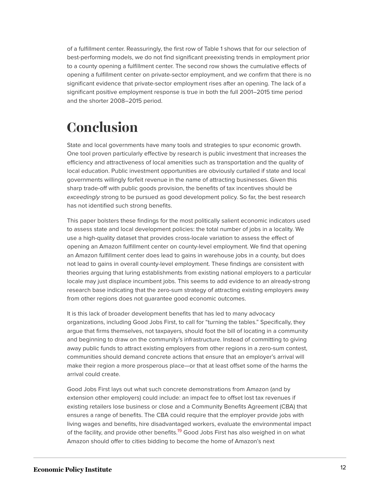of a fulfillment center. Reassuringly, the first row of Table 1 shows that for our selection of best-performing models, we do not find significant preexisting trends in employment prior to a county opening a fulfillment center. The second row shows the cumulative effects of opening a fulfillment center on private-sector employment, and we confirm that there is no significant evidence that private-sector employment rises after an opening. The lack of a significant positive employment response is true in both the full 2001–2015 time period and the shorter 2008–2015 period.

## <span id="page-12-0"></span>**Conclusion**

State and local governments have many tools and strategies to spur economic growth. One tool proven particularly effective by research is public investment that increases the efficiency and attractiveness of local amenities such as transportation and the quality of local education. Public investment opportunities are obviously curtailed if state and local governments willingly forfeit revenue in the name of attracting businesses. Given this sharp trade-off with public goods provision, the benefits of tax incentives should be exceedingly strong to be pursued as good development policy. So far, the best research has not identified such strong benefits.

This paper bolsters these findings for the most politically salient economic indicators used to assess state and local development policies: the total number of jobs in a locality. We use a high-quality dataset that provides cross-locale variation to assess the effect of opening an Amazon fulfillment center on county-level employment. We find that opening an Amazon fulfillment center does lead to gains in warehouse jobs in a county, but does not lead to gains in overall county-level employment. These findings are consistent with theories arguing that luring establishments from existing national employers to a particular locale may just displace incumbent jobs. This seems to add evidence to an already-strong research base indicating that the zero-sum strategy of attracting existing employers away from other regions does not guarantee good economic outcomes.

It is this lack of broader development benefits that has led to many advocacy organizations, including Good Jobs First, to call for "turning the tables." Specifically, they argue that firms themselves, not taxpayers, should foot the bill of locating in a community and beginning to draw on the community's infrastructure. Instead of committing to giving away public funds to attract existing employers from other regions in a zero-sum contest, communities should demand concrete actions that ensure that an employer's arrival will make their region a more prosperous place—or that at least offset some of the harms the arrival could create.

<span id="page-12-1"></span>Good Jobs First lays out what such concrete demonstrations from Amazon (and by extension other employers) could include: an impact fee to offset lost tax revenues if existing retailers lose business or close and a Community Benefits Agreement (CBA) that ensures a range of benefits. The CBA could require that the employer provide jobs with living wages and benefits, hire disadvantaged workers, evaluate the environmental impact of the facility, and provide other benefits.<sup>[19](#page-26-9)</sup> Good Jobs First has also weighed in on what Amazon should offer to cities bidding to become the home of Amazon's next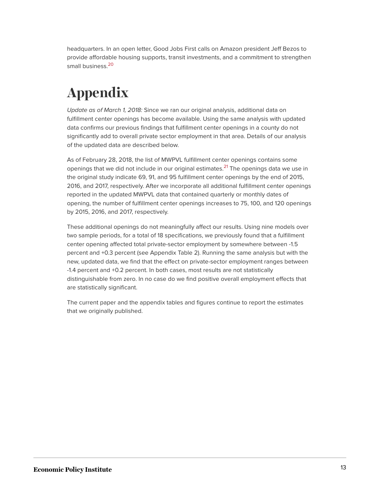<span id="page-13-1"></span>headquarters. In an open letter, Good Jobs First calls on Amazon president Jeff Bezos to provide affordable housing supports, transit investments, and a commitment to strengthen small business.<sup>[20](#page-27-0)</sup>

# <span id="page-13-0"></span>**Appendix**

Update as of March 1, 2018: Since we ran our original analysis, additional data on fulfillment center openings has become available. Using the same analysis with updated data confirms our previous findings that fulfillment center openings in a county do not significantly add to overall private sector employment in that area. Details of our analysis of the updated data are described below.

<span id="page-13-2"></span>As of February 28, 2018, the list of MWPVL fulfillment center openings contains some openings that we did not include in our original estimates.<sup>[21](#page-27-1)</sup> The openings data we use in the original study indicate 69, 91, and 95 fulfillment center openings by the end of 2015, 2016, and 2017, respectively. After we incorporate all additional fulfillment center openings reported in the updated MWPVL data that contained quarterly or monthly dates of opening, the number of fulfillment center openings increases to 75, 100, and 120 openings by 2015, 2016, and 2017, respectively.

These additional openings do not meaningfully affect our results. Using nine models over two sample periods, for a total of 18 specifications, we previously found that a fulfillment center opening affected total private-sector employment by somewhere between -1.5 percent and +0.3 percent (see Appendix Table 2). Running the same analysis but with the new, updated data, we find that the effect on private-sector employment ranges between -1.4 percent and +0.2 percent. In both cases, most results are not statistically distinguishable from zero. In no case do we find positive overall employment effects that are statistically significant.

The current paper and the appendix tables and figures continue to report the estimates that we originally published.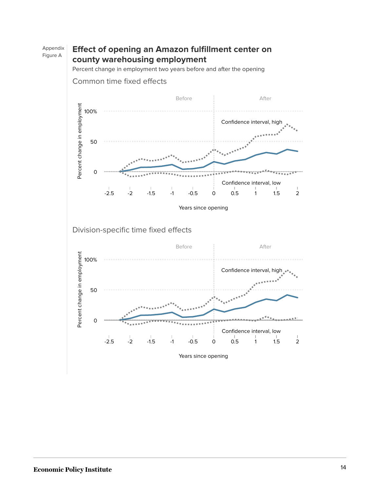#### Appendix Figure A **Effect of opening an Amazon fulfillment center on county warehousing employment**

Percent change in employment two years before and after the opening



Common time fixed effects

Years since opening

Division-specific time fixed effects



Years since opening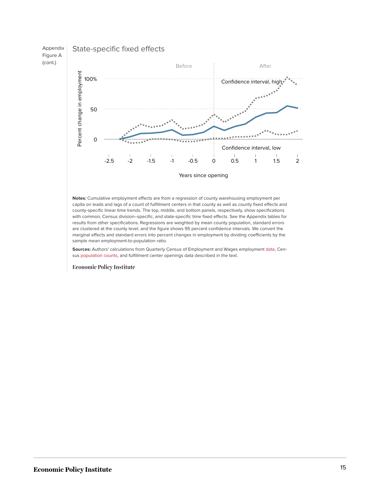

Years since opening

**Notes:** Cumulative employment effects are from a regression of county warehousing employment per capita on leads and lags of a count of fulfillment centers in that county as well as county fixed effects and county-specific linear time trends. The top, middle, and bottom panels, respectively, show specifications with common, Census division–specific, and state-specific time fixed effects. See the Appendix tables for results from other specifications. Regressions are weighted by mean county population, standard errors are clustered at the county level, and the figure shows 95 percent confidence intervals. We convert the marginal effects and standard errors into percent changes in employment by dividing coefficients by the sample mean employment-to-population ratio.

**Sources:** Authors' calculations from Quarterly Census of Employment and Wages employment [data,](https://www.bls.gov/cew/datatoc.htm) Census [population](https://www.census.gov/data/tables/2016/demo/popest/counties-total.html) [counts](https://www2.census.gov/programs-surveys/popest/tables/2000-2010/intercensal/county/), and fulfillment center openings data described in the text.

**Economic Policy Institute**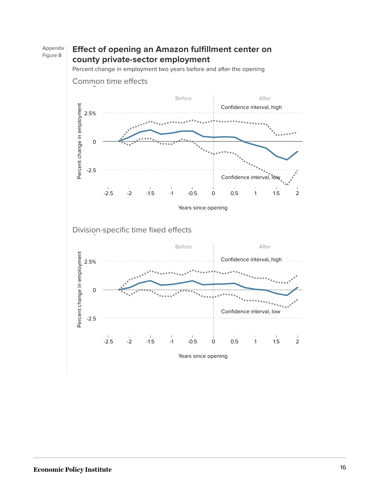#### Appendix Figure B **Effect of opening an Amazon fulfillment center on county private-sector employment**

Percent change in employment two years before and after the opening



Division-specific time fixed effects 5

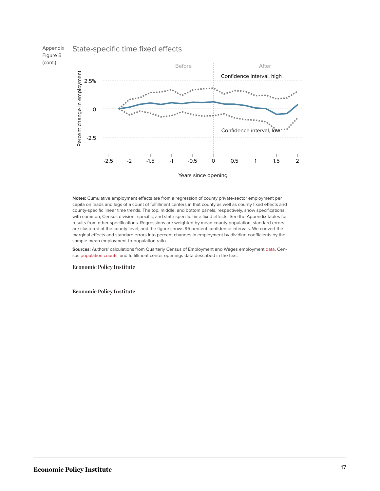



Years since opening

**Notes:** Cumulative employment effects are from a regression of county private-sector employment per capita on leads and lags of a count of fulfillment centers in that county as well as county fixed effects and county-specific linear time trends. The top, middle, and bottom panels, respectively, show specifications with common, Census division–specific, and state-specific time fixed effects. See the Appendix tables for results from other specifications. Regressions are weighted by mean county population, standard errors are clustered at the county level, and the figure shows 95 percent confidence intervals. We convert the marginal effects and standard errors into percent changes in employment by dividing coefficients by the sample mean employment-to-population ratio.

**Sources:** Authors' calculations from Quarterly Census of Employment and Wages employment [data,](https://www.bls.gov/cew/datatoc.htm) Census [population](https://www.census.gov/data/tables/2016/demo/popest/counties-total.html) [counts](https://www2.census.gov/programs-surveys/popest/tables/2000-2010/intercensal/county/), and fulfillment center openings data described in the text.

**Economic Policy Institute** 

**Economic Policy Institute**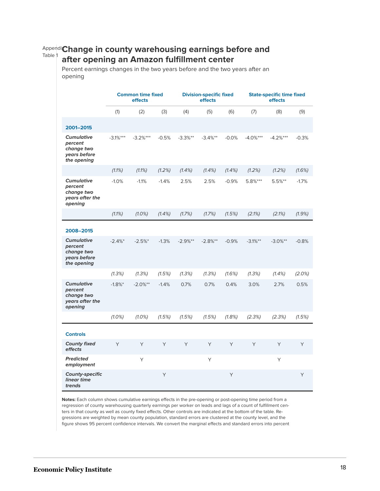#### Appendix **Change in county warehousing earnings before and** Table 1 **after opening an Amazon fulfillment center**

Percent earnings changes in the two years before and the two years after an opening

|                                                                           |            | <b>Common time fixed</b><br>effects |           | <b>Division-specific fixed</b><br>effects |            | <b>State-specific time fixed</b><br>effects |            |              |         |
|---------------------------------------------------------------------------|------------|-------------------------------------|-----------|-------------------------------------------|------------|---------------------------------------------|------------|--------------|---------|
|                                                                           | (1)        | (2)                                 | (3)       | (4)                                       | (5)        | (6)                                         | (7)        | (8)          | (9)     |
| 2001-2015                                                                 |            |                                     |           |                                           |            |                                             |            |              |         |
| <b>Cumulative</b><br>percent<br>change two<br>vears before<br>the opening | $-3.1%***$ | $-3.2%***$                          | $-0.5%$   | $-3.3%$ **                                | $-3.4%$ ** | $-0.0%$                                     | $-4.0%***$ | $-4.2%***$   | $-0.3%$ |
|                                                                           | (1.1%)     | $(1.1\%)$                           | (1.2%)    | $(1.4\%)$                                 | $(1.4\%)$  | $(1.4\%)$                                   | (1.2%)     | (1.2%)       | (1.6%)  |
| <b>Cumulative</b><br>percent<br>change two<br>years after the<br>opening  | $-1.0%$    | $-1.1%$                             | $-1.4%$   | 2.5%                                      | 2.5%       | $-0.9%$                                     | 5.8%***    | $5.5%$ **    | $-1.7%$ |
|                                                                           | $(1.1\%)$  | $(1.0\%)$                           | $(1.4\%)$ | (1.7%)                                    | (1.7%)     | (1.5%)                                      | (2.1%)     | (2.1%)       | (1.9%)  |
| 2008-2015                                                                 |            |                                     |           |                                           |            |                                             |            |              |         |
| <b>Cumulative</b><br>percent<br>change two<br>vears before<br>the opening | $-2.4%$    | $-2.5%$                             | $-1.3%$   | $-2.9%$ **                                | $-2.8%$ ** | $-0.9%$                                     | $-3.1%$ ** | $-3.0%^{**}$ | $-0.8%$ |
|                                                                           | (1.3%)     | (1.3%)                              | (1.5%)    | (1.3%)                                    | (1.3%)     | (1.6%)                                      | (1.3%)     | $(1.4\%)$    | (2.0%)  |
| <b>Cumulative</b><br>percent<br>change two<br>years after the<br>opening  | $-1.8%$    | $-2.0%^{**}$                        | $-1.4%$   | 0.7%                                      | 0.7%       | 0.4%                                        | 3.0%       | 2.7%         | 0.5%    |
|                                                                           | $(1.0\%)$  | $(1.0\%)$                           | (1.5%)    | (1.5%)                                    | (1.5%)     | (1.8%)                                      | (2.3%)     | (2.3%)       | (1.5%)  |
| <b>Controls</b>                                                           |            |                                     |           |                                           |            |                                             |            |              |         |
| <b>County fixed</b><br>effects                                            | Y          | Y                                   | Y         | Y                                         | Y          | Y                                           | Y          | Y            | Y       |
| <b>Predicted</b><br>employment                                            |            | Y                                   |           |                                           | Υ          |                                             |            | Y            |         |
| <b>County-specific</b><br>linear time<br>trends                           |            |                                     | Y         |                                           |            | Y                                           |            |              | Y       |

**Notes:** Each column shows cumulative earnings effects in the pre-opening or post-opening time period from a regression of county warehousing quarterly earnings per worker on leads and lags of a count of fulfillment centers in that county as well as county fixed effects. Other controls are indicated at the bottom of the table. Regressions are weighted by mean county population, standard errors are clustered at the county level, and the figure shows 95 percent confidence intervals. We convert the marginal effects and standard errors into percent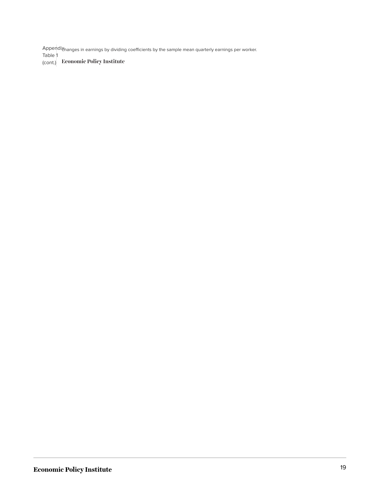Appendi $\chi$ hanges in earnings by dividing coefficients by the sample mean quarterly earnings per worker. Table 1

(cont.) Economic Policy Institute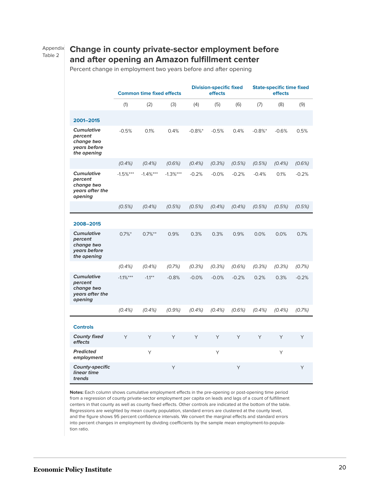#### Appendix Table 2

### **Change in county private-sector employment before and after opening an Amazon fulfillment center**

Percent change in employment two years before and after opening

|                                                                           | <b>Common time fixed effects</b> |            |            | <b>Division-specific fixed</b><br>effects |           | <b>State-specific time fixed</b><br>effects |         |         |         |
|---------------------------------------------------------------------------|----------------------------------|------------|------------|-------------------------------------------|-----------|---------------------------------------------|---------|---------|---------|
|                                                                           | (1)                              | (2)        | (3)        | (4)                                       | (5)       | (6)                                         | (7)     | (8)     | (9)     |
| 2001-2015                                                                 |                                  |            |            |                                           |           |                                             |         |         |         |
| <b>Cumulative</b><br>percent<br>change two<br>vears before<br>the opening | $-0.5%$                          | 0.1%       | 0.4%       | $-0.8%$                                   | $-0.5%$   | 0.4%                                        | $-0.8%$ | $-0.6%$ | 0.5%    |
|                                                                           | $(0.4\%)$                        | (0.4%      | (0.6%)     | (0.4%                                     | (0.3%)    | (0.5%)                                      | (0.5%)  | (0.4%   | (0.6%)  |
| <b>Cumulative</b><br>percent<br>change two<br>years after the<br>opening  | $-1.5%***$                       | $-1.4%***$ | $-1.3%***$ | $-0.2%$                                   | $-0.0%$   | $-0.2%$                                     | $-0.4%$ | 0.1%    | $-0.2%$ |
|                                                                           | (0.5%)                           | $(0.4\%)$  | (0.5%)     | (0.5%)                                    | $(0.4\%)$ | $(0.4\%)$                                   | (0.5%)  | (0.5%)  | (0.5%)  |
| 2008-2015                                                                 |                                  |            |            |                                           |           |                                             |         |         |         |
| <b>Cumulative</b><br>percent<br>change two<br>years before<br>the opening | $0.7\%$ <sup>*</sup>             | $0.7\%***$ | 0.9%       | 0.3%                                      | 0.3%      | 0.9%                                        | 0.0%    | 0.0%    | 0.7%    |
|                                                                           | $(0.4\%)$                        | (0.4%      | (0.7%)     | (0.3%)                                    | (0.3%)    | (0.6%)                                      | (0.3%)  | (0.3%)  | (0.7%)  |
| <b>Cumulative</b><br>percent<br>change two<br>years after the<br>opening  | $-1.1%***$                       | $-1.1***$  | $-0.8%$    | $-0.0%$                                   | $-0.0%$   | $-0.2%$                                     | 0.2%    | 0.3%    | $-0.2%$ |
|                                                                           | $(0.4\%)$                        | $(0.4\%)$  | (0.9%      | $(0.4\%)$                                 | $(0.4\%)$ | (0.6%)                                      | (0.4%   | (0.4%   | (0.7%)  |
| <b>Controls</b>                                                           |                                  |            |            |                                           |           |                                             |         |         |         |
| <b>County fixed</b><br>effects                                            | Y                                | Y          | Y          | Y                                         | Y         | Y                                           | Y       | Y       | Y       |
| <b>Predicted</b><br>employment                                            |                                  | Y          |            |                                           | Y         |                                             |         | Y       |         |
| <b>County-specific</b><br>linear time<br>trends                           |                                  |            | Y          |                                           |           | Y                                           |         |         | Y       |

**Notes:** Each column shows cumulative employment effects in the pre-opening or post-opening time period from a regression of county private-sector employment per capita on leads and lags of a count of fulfillment centers in that county as well as county fixed effects. Other controls are indicated at the bottom of the table. Regressions are weighted by mean county population, standard errors are clustered at the county level, and the figure shows 95 percent confidence intervals. We convert the marginal effects and standard errors into percent changes in employment by dividing coefficients by the sample mean employment-to-population ratio.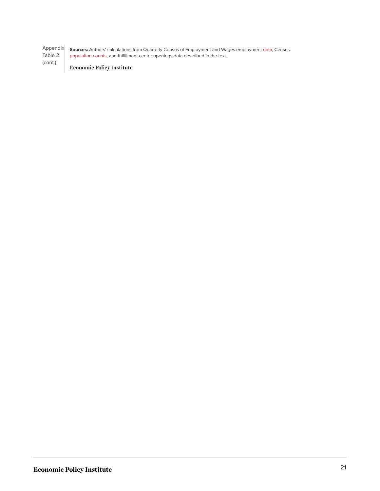Appendix Table 2 (cont.) **Sources:** Authors' calculations from Quarterly Census of Employment and Wages employment [data,](https://www.bls.gov/cew/datatoc.htm) Census [population](https://www.census.gov/data/tables/2016/demo/popest/counties-total.html) [counts,](https://www2.census.gov/programs-surveys/popest/tables/2000-2010/intercensal/county/) and fulfillment center openings data described in the text.

**Economic Policy Institute**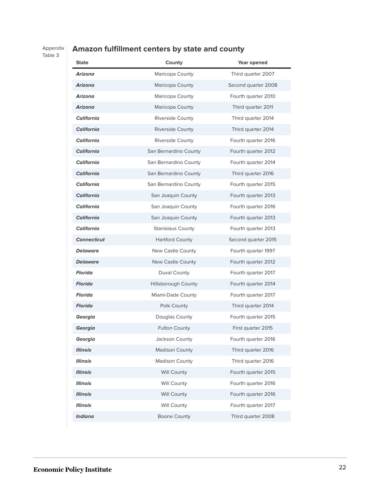### Appendix Table 3

## **Amazon fulfillment centers by state and county**

| <b>State</b>       | County                     | Year opened         |
|--------------------|----------------------------|---------------------|
| Arizona            | Maricopa County            | Third quarter 2007  |
| Arizona            | Maricopa County            | Second quarter 2008 |
| Arizona            | Maricopa County            | Fourth quarter 2010 |
| Arizona            | Maricopa County            | Third quarter 2011  |
| <b>California</b>  | Riverside County           | Third quarter 2014  |
| <b>California</b>  | <b>Riverside County</b>    | Third quarter 2014  |
| <b>California</b>  | <b>Riverside County</b>    | Fourth quarter 2016 |
| <b>California</b>  | San Bernardino County      | Fourth quarter 2012 |
| <b>California</b>  | San Bernardino County      | Fourth quarter 2014 |
| <b>California</b>  | San Bernardino County      | Third quarter 2016  |
| <b>California</b>  | San Bernardino County      | Fourth quarter 2015 |
| <b>California</b>  | San Joaquin County         | Fourth quarter 2013 |
| California         | San Joaquin County         | Fourth quarter 2016 |
| <b>California</b>  | San Joaquin County         | Fourth quarter 2013 |
| <b>California</b>  | <b>Stanislaus County</b>   | Fourth quarter 2013 |
| <b>Connecticut</b> | <b>Hartford County</b>     | Second quarter 2015 |
| <b>Delaware</b>    | New Castle County          | Fourth quarter 1997 |
| <b>Delaware</b>    | <b>New Castle County</b>   | Fourth quarter 2012 |
| <b>Florida</b>     | Duval County               | Fourth quarter 2017 |
| <b>Florida</b>     | <b>Hillsborough County</b> | Fourth quarter 2014 |
| <b>Florida</b>     | Miami-Dade County          | Fourth quarter 2017 |
| <b>Florida</b>     | Polk County                | Third quarter 2014  |
| Georgia            | Douglas County             | Fourth quarter 2015 |
| Georgia            | <b>Fulton County</b>       | First quarter 2015  |
| Georgia            | Jackson County             | Fourth quarter 2016 |
| <b>Illinois</b>    | <b>Madison County</b>      | Third quarter 2016  |
| <b>Illinois</b>    | <b>Madison County</b>      | Third quarter 2016  |
| <b>Illinois</b>    | <b>Will County</b>         | Fourth quarter 2015 |
| <b>Illinois</b>    | <b>Will County</b>         | Fourth quarter 2016 |
| <b>Illinois</b>    | <b>Will County</b>         | Fourth quarter 2016 |
| <b>Illinois</b>    | <b>Will County</b>         | Fourth quarter 2017 |
| <b>Indiana</b>     | <b>Boone County</b>        | Third quarter 2008  |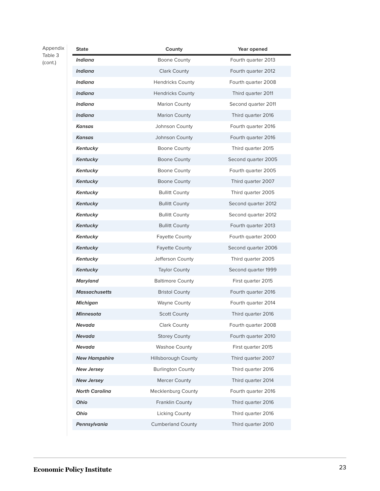### Appendix Table 3

(cont.)

| <b>State</b>          | County                    | Year opened         |
|-----------------------|---------------------------|---------------------|
| Indiana               | Boone County              | Fourth quarter 2013 |
| <b>Indiana</b>        | <b>Clark County</b>       | Fourth quarter 2012 |
| <b>Indiana</b>        | <b>Hendricks County</b>   | Fourth quarter 2008 |
| <b>Indiana</b>        | <b>Hendricks County</b>   | Third quarter 2011  |
| Indiana               | <b>Marion County</b>      | Second quarter 2011 |
| <b>Indiana</b>        | <b>Marion County</b>      | Third quarter 2016  |
| <b>Kansas</b>         | Johnson County            | Fourth quarter 2016 |
| <b>Kansas</b>         | Johnson County            | Fourth quarter 2016 |
| Kentucky              | Boone County              | Third quarter 2015  |
| <b>Kentucky</b>       | Boone County              | Second quarter 2005 |
| Kentucky              | Boone County              | Fourth quarter 2005 |
| <b>Kentucky</b>       | <b>Boone County</b>       | Third quarter 2007  |
| Kentucky              | <b>Bullitt County</b>     | Third quarter 2005  |
| <b>Kentucky</b>       | <b>Bullitt County</b>     | Second quarter 2012 |
| Kentucky              | <b>Bullitt County</b>     | Second quarter 2012 |
| <b>Kentucky</b>       | <b>Bullitt County</b>     | Fourth quarter 2013 |
| Kentucky              | <b>Fayette County</b>     | Fourth quarter 2000 |
| <b>Kentucky</b>       | <b>Fayette County</b>     | Second quarter 2006 |
| Kentucky              | Jefferson County          | Third quarter 2005  |
| <b>Kentucky</b>       | <b>Taylor County</b>      | Second quarter 1999 |
| Maryland              | <b>Baltimore County</b>   | First quarter 2015  |
| <b>Massachusetts</b>  | <b>Bristol County</b>     | Fourth quarter 2016 |
| Michigan              | Wayne County              | Fourth quarter 2014 |
| <b>Minnesota</b>      | <b>Scott County</b>       | Third quarter 2016  |
| Nevada                | <b>Clark County</b>       | Fourth quarter 2008 |
| <b>Nevada</b>         | <b>Storey County</b>      | Fourth quarter 2010 |
| Nevada                | <b>Washoe County</b>      | First quarter 2015  |
| <b>New Hampshire</b>  | Hillsborough County       | Third quarter 2007  |
| <b>New Jersey</b>     | <b>Burlington County</b>  | Third quarter 2016  |
| <b>New Jersey</b>     | Mercer County             | Third quarter 2014  |
| <b>North Carolina</b> | <b>Mecklenburg County</b> | Fourth quarter 2016 |
| Ohio                  | Franklin County           | Third quarter 2016  |
| Ohio                  | Licking County            | Third quarter 2016  |
| Pennsylvania          | <b>Cumberland County</b>  | Third quarter 2010  |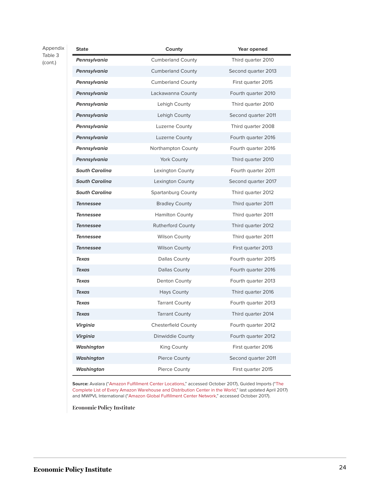Appendix Table 3 (cont.)

| <b>State</b>          | County                     | Year opened         |
|-----------------------|----------------------------|---------------------|
| Pennsylvania          | <b>Cumberland County</b>   | Third quarter 2010  |
| Pennsylvania          | <b>Cumberland County</b>   | Second quarter 2013 |
| Pennsylvania          | <b>Cumberland County</b>   | First quarter 2015  |
| Pennsylvania          | Lackawanna County          | Fourth quarter 2010 |
| Pennsylvania          | Lehigh County              | Third quarter 2010  |
| Pennsylvania          | Lehigh County              | Second quarter 2011 |
| Pennsylvania          | Luzerne County             | Third quarter 2008  |
| Pennsylvania          | Luzerne County             | Fourth quarter 2016 |
| Pennsylvania          | Northampton County         | Fourth quarter 2016 |
| Pennsylvania          | York County                | Third quarter 2010  |
| <b>South Carolina</b> | Lexington County           | Fourth quarter 2011 |
| <b>South Carolina</b> | Lexington County           | Second quarter 2017 |
| <b>South Carolina</b> | <b>Spartanburg County</b>  | Third quarter 2012  |
| <b>Tennessee</b>      | <b>Bradley County</b>      | Third quarter 2011  |
| <b>Tennessee</b>      | <b>Hamilton County</b>     | Third quarter 2011  |
| <b>Tennessee</b>      | <b>Rutherford County</b>   | Third quarter 2012  |
| <b>Tennessee</b>      | <b>Wilson County</b>       | Third quarter 2011  |
| <b>Tennessee</b>      | <b>Wilson County</b>       | First quarter 2013  |
| <b>Texas</b>          | Dallas County              | Fourth quarter 2015 |
| <b>Texas</b>          | <b>Dallas County</b>       | Fourth quarter 2016 |
| <b>Texas</b>          | Denton County              | Fourth quarter 2013 |
| <b>Texas</b>          | Hays County                | Third quarter 2016  |
| <b>Texas</b>          | <b>Tarrant County</b>      | Fourth quarter 2013 |
| <b>Texas</b>          | <b>Tarrant County</b>      | Third quarter 2014  |
| Virginia              | <b>Chesterfield County</b> | Fourth quarter 2012 |
| <b>Virginia</b>       | Dinwiddie County           | Fourth quarter 2012 |
| <b>Washington</b>     | King County                | First quarter 2016  |
| <b>Washington</b>     | Pierce County              | Second quarter 2011 |
| Washington            | Pierce County              | First quarter 2015  |

**Source:** Avalara ("[Amazon Fulfillment Center Locations](https://www1.avalara.com/trustfile/en/resources/amazon-warehouse-locations.html)," accessed October 2017), Guided Imports ("[The](https://guidedimports.com/amazon-warehouse-locations/) [Complete List of Every Amazon Warehouse and Distribution Center in the World](https://guidedimports.com/amazon-warehouse-locations/)," last updated April 2017) and MWPVL International (["Amazon Global Fulfillment Center Network](http://www.mwpvl.com/html/amazon_com.html)," accessed October 2017).

**Economic Policy Institute**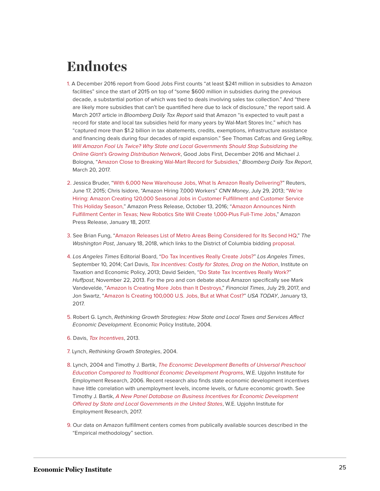## <span id="page-25-0"></span>**Endnotes**

- <span id="page-25-1"></span>[1.](#page-2-0) A December 2016 report from Good Jobs First counts "at least \$241 million in subsidies to Amazon facilities" since the start of 2015 on top of "some \$600 million in subsidies during the previous decade, a substantial portion of which was tied to deals involving sales tax collection." And "there are likely more subsidies that can't be quantified here due to lack of disclosure," the report said. A March 2017 article in Bloomberg Daily Tax Report said that Amazon "is expected to vault past a record for state and local tax subsidies held for many years by Wal-Mart Stores Inc." which has "captured more than \$1.2 billion in tax abatements, credits, exemptions, infrastructure assistance and financing deals during four decades of rapid expansion." See Thomas Cafcas and Greg LeRoy, [Will Amazon Fool Us Twice? Why State and Local Governments Should Stop Subsidizing the](http://www.goodjobsfirst.org/sites/default/files/docs/pdf/amazon-subsidies.pdf) [Online Giant's Growing Distribution Network](http://www.goodjobsfirst.org/sites/default/files/docs/pdf/amazon-subsidies.pdf), Good Jobs First, December 2016 and Michael J. Bologna, "[Amazon Close to Breaking Wal-Mart Record for Subsidies](https://www.bna.com/amazon-close-breaking-n57982085432/)," Bloomberg Daily Tax Report, March 20, 2017.
- <span id="page-25-2"></span>[2.](#page-2-1) Jessica Bruder, "[With 6,000 New Warehouse Jobs, What Is Amazon Really Delivering?](http://blogs.reuters.com/great-debate/2015/06/17/with-6000-new-warehouse-jobs-what-is-amazon-really-delivering/)" Reuters, June 17, 2015; Chris Isidore, "Amazon Hiring 7,000 Workers" CNN Money, July 29, 2013; "[We're](http://phx.corporate-ir.net/phoenix.zhtml?c=176060&p=irol-newsArticle&ID=2211394) [Hiring: Amazon Creating 120,000 Seasonal Jobs in Customer Fulfillment and Customer Service](http://phx.corporate-ir.net/phoenix.zhtml?c=176060&p=irol-newsArticle&ID=2211394) [This Holiday Season,](http://phx.corporate-ir.net/phoenix.zhtml?c=176060&p=irol-newsArticle&ID=2211394)" Amazon Press Release, October 13, 2016; "[Amazon Announces Ninth](http://phx.corporate-ir.net/phoenix.zhtml?c=176060&p=irol-newsArticle&ID=2238204) [Fulfillment Center in Texas; New Robotics Site Will Create 1,000-Plus Full-Time Jobs,](http://phx.corporate-ir.net/phoenix.zhtml?c=176060&p=irol-newsArticle&ID=2238204)" Amazon Press Release, January 18, 2017.
- <span id="page-25-3"></span>[3.](#page-2-2) See Brian Fung, "[Amazon Releases List of Metro Areas Being Considered for Its Second HQ](https://www.washingtonpost.com/news/the-switch/wp/2018/01/18/this-is-amazons-official-shortlist-of-places-its-considering-for-a-second-hq/)," The Washington Post, January 18, 2018, which links to the District of Columbia bidding [proposal.](https://www.scribd.com/document/369376700/FOIA-Appeal-2018-57-REDACTED-AmazonHQ2-Proposal-2)
- <span id="page-25-4"></span>[4.](#page-2-3) Los Angeles Times Editorial Board, "[Do Tax Incentives Really Create Jobs?](http://www.latimes.com/opinion/editorials/la-ed-tesla-incentives-20140911-story.html)" Los Angeles Times, September 10, 2014; Carl Davis, [Tax Incentives: Costly for States, Drag on the Nation](https://itep.org/wp-content/uploads/taxincentiveeffectiveness.pdf), Institute on Taxation and Economic Policy, 2013; David Seiden, ["Do State Tax Incentives Really Work?"](https://www.huffingtonpost.com/david-seiden/do-state-tax-incentives-r_b_4311980.html) Huffpost, November 22, 2013. For the pro and con debate about Amazon specifically see Mark Vandevelde, "[Amazon Is Creating More Jobs than It Destroys,](https://www.ft.com/content/cf98680c-738f-11e7-aca6-c6bd07df1a3c)" Financial Times, July 29, 2017, and Jon Swartz, ["Amazon Is Creating 100,000 U.S. Jobs, But at What Cost?](https://www.usatoday.com/story/tech/columnist/2017/01/13/amazons-jobs-creation-plan-comes-amid-labor-pains/96488166/)" USA TODAY, January 13, 2017.
- <span id="page-25-5"></span>[5.](#page-3-0) Robert G. Lynch, Rethinking Growth Strategies: How State and Local Taxes and Services Affect Economic Development. Economic Policy Institute, 2004.
- <span id="page-25-6"></span>[6.](#page-3-1) Davis, [Tax Incentives](https://itep.org/wp-content/uploads/taxincentiveeffectiveness.pdf), 2013.
- <span id="page-25-7"></span>[7.](#page-4-1) Lynch, Rethinking Growth Strategies, 2004.
- <span id="page-25-8"></span>[8.](#page-4-2) Lynch, 2004 and Timothy J. Bartik, [The Economic Development Benefits of Universal Preschool](http://research.upjohn.org/cgi/viewcontent.cgi?article=1044&context=reports) [Education Compared to Traditional Economic Development Programs](http://research.upjohn.org/cgi/viewcontent.cgi?article=1044&context=reports), W.E. Upjohn Institute for Employment Research, 2006. Recent research also finds state economic development incentives have little correlation with unemployment levels, income levels, or future economic growth. See Timothy J. Bartik, [A New Panel Database on Business Incentives for Economic Development](http://research.upjohn.org/cgi/viewcontent.cgi?article=1228&context=reports) [Offered by State and Local Governments in the United States](http://research.upjohn.org/cgi/viewcontent.cgi?article=1228&context=reports), W.E. Upjohn Institute for Employment Research, 2017.
- <span id="page-25-9"></span>[9.](#page-4-3) Our data on Amazon fulfillment centers comes from publically available sources described in the "Empirical methodology" section.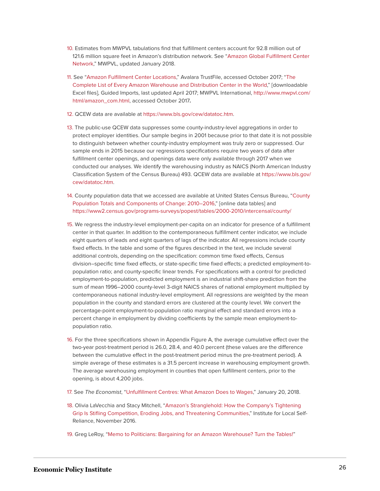- <span id="page-26-0"></span>[10.](#page-4-4) Estimates from MWPVL tabulations find that fulfillment centers account for 92.8 million out of 121.6 million square feet in Amazon's distribution network. See "[Amazon Global Fulfillment Center](http://www.mwpvl.com/html/amazon_com.html) [Network](http://www.mwpvl.com/html/amazon_com.html)," MWPVL, updated January 2018.
- <span id="page-26-1"></span>[11.](#page-5-1) See "[Amazon Fulfillment Center Locations,](https://www1.avalara.com/trustfile/en/resources/amazon-warehouse-locations.html)" Avalara TrustFile, accessed October 2017; ["The](https://guidedimports.com/amazon-warehouse-locations/) [Complete List of Every Amazon Warehouse and Distribution Center in the World](https://guidedimports.com/amazon-warehouse-locations/)," [downloadable Excel files], Guided Imports, last updated April 2017; MWPVL International, [http://www.mwpvl.com/](http://www.mwpvl.com/html/amazon_com.html) [html/amazon\\_com.html,](http://www.mwpvl.com/html/amazon_com.html) accessed October 2017**.**
- <span id="page-26-2"></span>[12.](#page-5-2) QCEW data are available at [https://www.bls.gov/cew/datatoc.htm.](https://www.bls.gov/cew/datatoc.htm)
- <span id="page-26-3"></span>[13.](#page-6-0) The public-use QCEW data suppresses some county-industry-level aggregations in order to protect employer identities. Our sample begins in 2001 because prior to that date it is not possible to distinguish between whether county-industry employment was truly zero or suppressed. Our sample ends in 2015 because our regressions specifications require two years of data after fulfillment center openings, and openings data were only available through 2017 when we conducted our analyses. We identify the warehousing industry as NAICS (North American Industry Classification System of the Census Bureau) 493. QCEW data are available at [https://www.bls.gov/](https://www.bls.gov/cew/datatoc.htm) [cew/datatoc.htm](https://www.bls.gov/cew/datatoc.htm).
- <span id="page-26-4"></span>[14.](#page-6-1) County population data that we accessed are available at United States Census Bureau, "[County](https://www.census.gov/data/tables/2016/demo/popest/counties-total.html) [Population Totals and Components of Change: 2010–2016,](https://www.census.gov/data/tables/2016/demo/popest/counties-total.html)" [online data tables] and <https://www2.census.gov/programs-surveys/popest/tables/2000-2010/intercensal/county/>
- <span id="page-26-5"></span>[15.](#page-6-2) We regress the industry-level employment-per-capita on an indicator for presence of a fulfillment center in that quarter. In addition to the contemporaneous fulfillment center indicator, we include eight quarters of leads and eight quarters of lags of the indicator. All regressions include county fixed effects. In the table and some of the figures described in the text, we include several additional controls, depending on the specification: common time fixed effects, Census division–specific time fixed effects, or state-specific time fixed effects; a predicted employment-topopulation ratio; and county-specific linear trends. For specifications with a control for predicted employment-to-population, predicted employment is an industrial shift-share prediction from the sum of mean 1996–2000 county-level 3-digit NAICS shares of national employment multiplied by contemporaneous national industry-level employment. All regressions are weighted by the mean population in the county and standard errors are clustered at the county level. We convert the percentage-point employment-to-population ratio marginal effect and standard errors into a percent change in employment by dividing coefficients by the sample mean employment-topopulation ratio.
- <span id="page-26-6"></span>[16.](#page-8-0) For the three specifications shown in Appendix Figure A, the average cumulative effect over the two-year post-treatment period is 26.0, 28.4, and 40.0 percent (these values are the difference between the cumulative effect in the post-treatment period minus the pre-treatment period). A simple average of these estimates is a 31.5 percent increase in warehousing employment growth. The average warehousing employment in counties that open fulfillment centers, prior to the opening, is about 4,200 jobs.
- <span id="page-26-7"></span>[17.](#page-9-0) See The Economist, ["Unfulfillment Centres: What Amazon Does to Wages,](https://www.economist.com/news/united-states/21735020-worlds-largest-online-retailer-underpaying-its-employees-what-amazon-does-wages)" January 20, 2018.
- <span id="page-26-8"></span>[18.](#page-9-1) Olivia LaVecchia and Stacy Mitchell, ["Amazon's Stranglehold: How the Company's Tightening](https://ilsr.org/amazon-stranglehold/) [Grip Is Stifling Competition, Eroding Jobs, and Threatening Communities](https://ilsr.org/amazon-stranglehold/)," Institute for Local Self-Reliance, November 2016.
- <span id="page-26-9"></span>[19.](#page-12-1) Greg LeRoy, "[Memo to Politicians: Bargaining for an Amazon Warehouse? Turn the Tables!](http://www.goodjobsfirst.org/sites/default/files/docs/pdf/Amazon_BNA.pdf)"